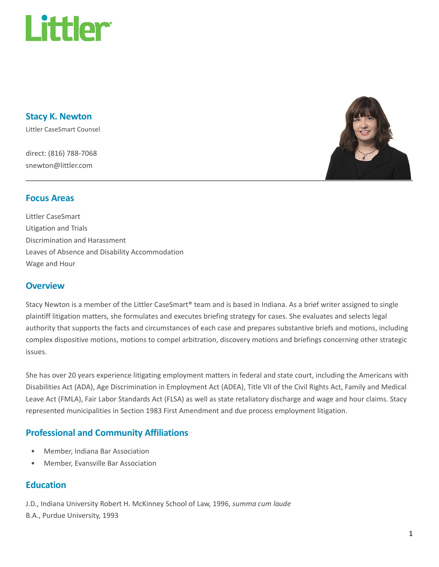

Stacy K. Newton

Littler CaseSmart Counsel

direct: (816) 788-7068 snewton@littler.com



#### Focus Areas

Littler CaseSmart Litigation and Trials Discrimination and Harassment Leaves of Absence and Disability Accommodation Wage and Hour

#### **Overview**

Stacy Newton is a member of the Littler CaseSmart® team and is based in Indiana. As a brief writer assigned to single plaintiff litigation matters, she formulates and executes briefing strategy for cases. She evaluates and selects legal authority that supports the facts and circumstances of each case and prepares substantive briefs and motions, including complex dispositive motions, motions to compel arbitration, discovery motions and briefings concerning other strategic issues.

She has over 20 years experience litigating employment matters in federal and state court, including the Americans with Disabilities Act (ADA), Age Discrimination in Employment Act (ADEA), Title VII of the Civil Rights Act, Family and Medical Leave Act (FMLA), Fair Labor Standards Act (FLSA) as well as state retaliatory discharge and wage and hour claims. Stacy represented municipalities in Section 1983 First Amendment and due process employment litigation.

## Professional and Community Affiliations

- Member, Indiana Bar Association
- Member, Evansville Bar Association

#### **Education**

J.D., Indiana University Robert H. McKinney School of Law, 1996, summa cum laude B.A., Purdue University, 1993